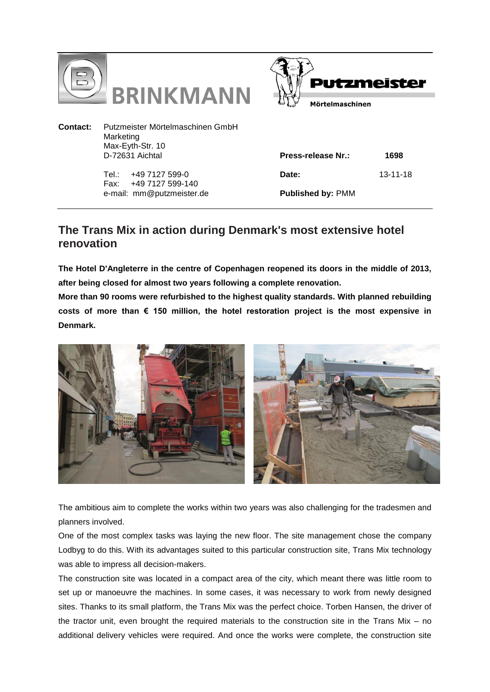



**Contact:** Putzmeister Mörtelmaschinen GmbH Marketing Max-Eyth-Str. 10 D-72631 Aichtal

> Tel.: +49 7127 599-0 Fax: +49 7127 599-140 e-mail: mm@putzmeister.de

| Press-release Nr.:       | 1698     |
|--------------------------|----------|
| Date:                    | 13-11-18 |
| <b>Published by: PMM</b> |          |

## **The Trans Mix in action during Denmark's most extensive hotel renovation**

**The Hotel D'Angleterre in the centre of Copenhagen reopened its doors in the middle of 2013, after being closed for almost two years following a complete renovation.** 

**More than 90 rooms were refurbished to the highest quality standards. With planned rebuilding costs of more than € 150 million, the hotel restoration project is the most expensive in Denmark.**



The ambitious aim to complete the works within two years was also challenging for the tradesmen and planners involved.

One of the most complex tasks was laying the new floor. The site management chose the company Lodbyg to do this. With its advantages suited to this particular construction site, Trans Mix technology was able to impress all decision-makers.

The construction site was located in a compact area of the city, which meant there was little room to set up or manoeuvre the machines. In some cases, it was necessary to work from newly designed sites. Thanks to its small platform, the Trans Mix was the perfect choice. Torben Hansen, the driver of the tractor unit, even brought the required materials to the construction site in the Trans Mix – no additional delivery vehicles were required. And once the works were complete, the construction site